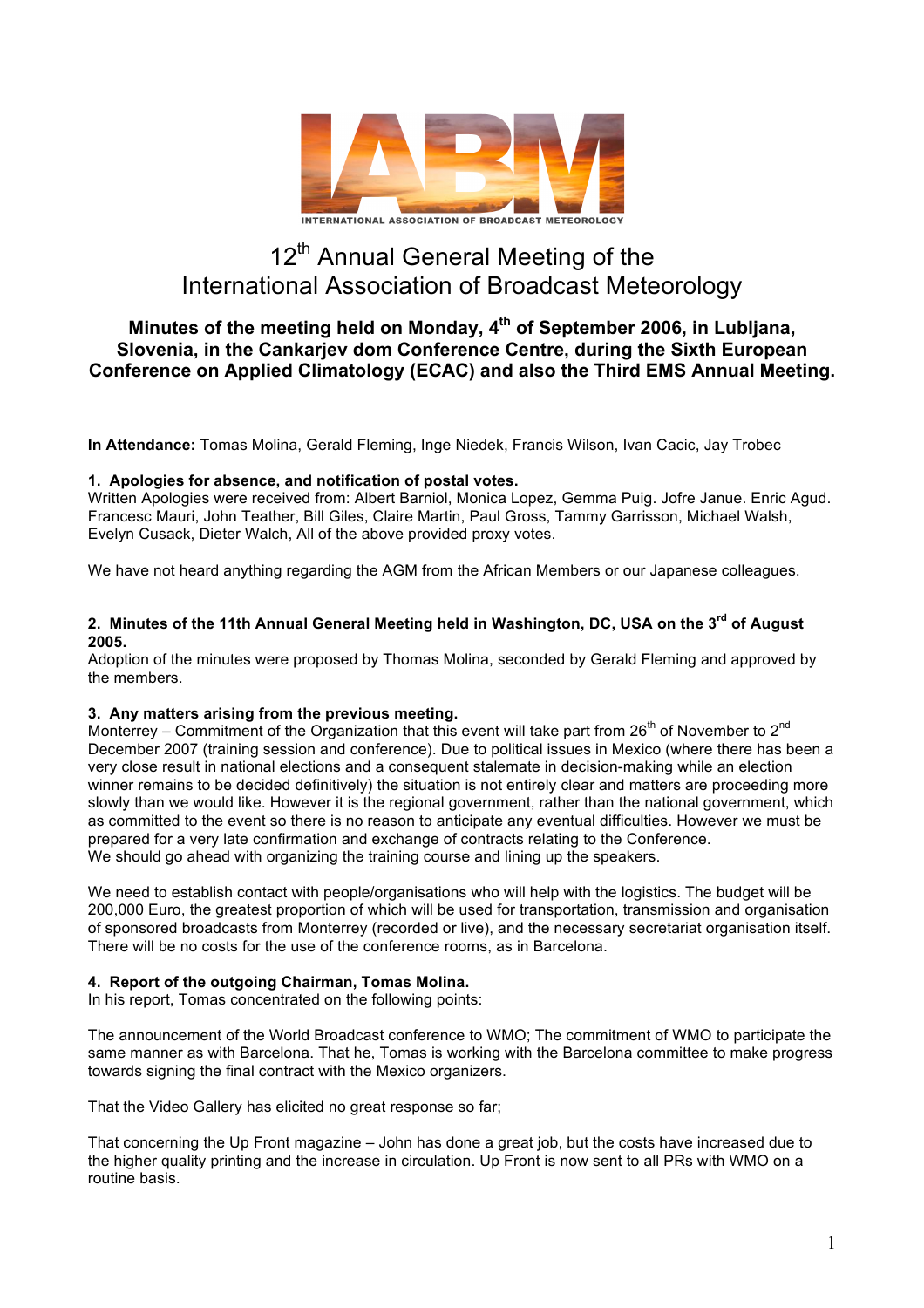

# 12<sup>th</sup> Annual General Meeting of the International Association of Broadcast Meteorology

# **Minutes of the meeting held on Monday, 4th of September 2006, in Lubljana, Slovenia, in the Cankarjev dom Conference Centre, during the Sixth European Conference on Applied Climatology (ECAC) and also the Third EMS Annual Meeting.**

**In Attendance:** Tomas Molina, Gerald Fleming, Inge Niedek, Francis Wilson, Ivan Cacic, Jay Trobec

### **1. Apologies for absence, and notification of postal votes.**

Written Apologies were received from: Albert Barniol, Monica Lopez, Gemma Puig. Jofre Janue. Enric Agud. Francesc Mauri, John Teather, Bill Giles, Claire Martin, Paul Gross, Tammy Garrisson, Michael Walsh, Evelyn Cusack, Dieter Walch, All of the above provided proxy votes.

We have not heard anything regarding the AGM from the African Members or our Japanese colleagues.

## **2. Minutes of the 11th Annual General Meeting held in Washington, DC, USA on the 3rd of August 2005.**

Adoption of the minutes were proposed by Thomas Molina, seconded by Gerald Fleming and approved by the members.

### **3. Any matters arising from the previous meeting.**

Monterrey – Commitment of the Organization that this event will take part from 26<sup>th</sup> of November to 2<sup>nd</sup> December 2007 (training session and conference). Due to political issues in Mexico (where there has been a very close result in national elections and a consequent stalemate in decision-making while an election winner remains to be decided definitively) the situation is not entirely clear and matters are proceeding more slowly than we would like. However it is the regional government, rather than the national government, which as committed to the event so there is no reason to anticipate any eventual difficulties. However we must be prepared for a very late confirmation and exchange of contracts relating to the Conference. We should go ahead with organizing the training course and lining up the speakers.

We need to establish contact with people/organisations who will help with the logistics. The budget will be 200,000 Euro, the greatest proportion of which will be used for transportation, transmission and organisation of sponsored broadcasts from Monterrey (recorded or live), and the necessary secretariat organisation itself. There will be no costs for the use of the conference rooms, as in Barcelona.

### **4. Report of the outgoing Chairman, Tomas Molina.**

In his report, Tomas concentrated on the following points:

The announcement of the World Broadcast conference to WMO; The commitment of WMO to participate the same manner as with Barcelona. That he, Tomas is working with the Barcelona committee to make progress towards signing the final contract with the Mexico organizers.

That the Video Gallery has elicited no great response so far;

That concerning the Up Front magazine – John has done a great job, but the costs have increased due to the higher quality printing and the increase in circulation. Up Front is now sent to all PRs with WMO on a routine basis.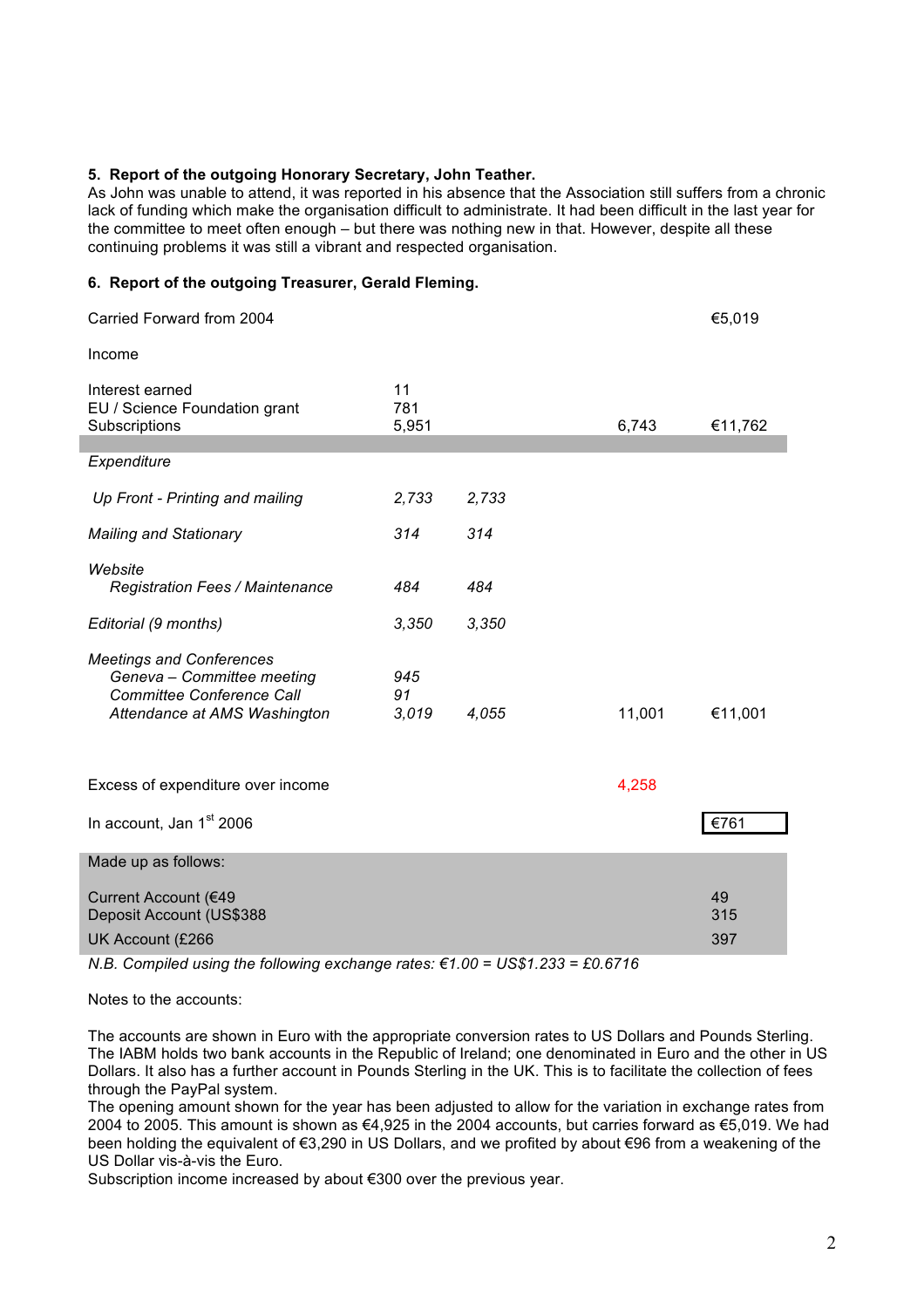#### **5. Report of the outgoing Honorary Secretary, John Teather.**

As John was unable to attend, it was reported in his absence that the Association still suffers from a chronic lack of funding which make the organisation difficult to administrate. It had been difficult in the last year for the committee to meet often enough – but there was nothing new in that. However, despite all these continuing problems it was still a vibrant and respected organisation.

#### **6. Report of the outgoing Treasurer, Gerald Fleming.**

| Carried Forward from 2004                                                                                                         |                    |       |        | €5,019           |
|-----------------------------------------------------------------------------------------------------------------------------------|--------------------|-------|--------|------------------|
| Income                                                                                                                            |                    |       |        |                  |
| Interest earned<br>EU / Science Foundation grant<br>Subscriptions                                                                 | 11<br>781<br>5,951 |       | 6,743  | €11,762          |
| Expenditure                                                                                                                       |                    |       |        |                  |
| Up Front - Printing and mailing                                                                                                   | 2,733              | 2,733 |        |                  |
| <b>Mailing and Stationary</b>                                                                                                     | 314                | 314   |        |                  |
| Website<br>Registration Fees / Maintenance                                                                                        | 484                | 484   |        |                  |
| Editorial (9 months)                                                                                                              | 3,350              | 3,350 |        |                  |
| <b>Meetings and Conferences</b><br>Geneva - Committee meeting<br><b>Committee Conference Call</b><br>Attendance at AMS Washington | 945<br>91<br>3,019 | 4,055 | 11,001 | €11,001          |
| Excess of expenditure over income                                                                                                 |                    |       | 4,258  |                  |
| In account, Jan 1 <sup>st</sup> 2006                                                                                              |                    |       |        | €761             |
| Made up as follows:                                                                                                               |                    |       |        |                  |
| Current Account (€49<br>Deposit Account (US\$388<br>UK Account (£266                                                              |                    |       |        | 49<br>315<br>397 |
|                                                                                                                                   |                    |       |        |                  |

*N.B. Compiled using the following exchange rates: €1.00 = US\$1.233 = £0.6716*

Notes to the accounts:

The accounts are shown in Euro with the appropriate conversion rates to US Dollars and Pounds Sterling. The IABM holds two bank accounts in the Republic of Ireland; one denominated in Euro and the other in US Dollars. It also has a further account in Pounds Sterling in the UK. This is to facilitate the collection of fees through the PayPal system.

The opening amount shown for the year has been adjusted to allow for the variation in exchange rates from 2004 to 2005. This amount is shown as €4,925 in the 2004 accounts, but carries forward as €5,019. We had been holding the equivalent of €3,290 in US Dollars, and we profited by about €96 from a weakening of the US Dollar vis-à-vis the Euro.

Subscription income increased by about €300 over the previous year.